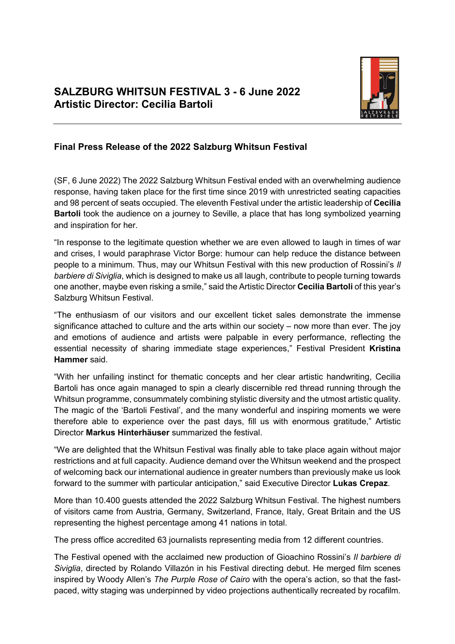

## **Final Press Release of the 2022 Salzburg Whitsun Festival**

(SF, 6 June 2022) The 2022 Salzburg Whitsun Festival ended with an overwhelming audience response, having taken place for the first time since 2019 with unrestricted seating capacities and 98 percent of seats occupied. The eleventh Festival under the artistic leadership of **Cecilia Bartoli** took the audience on a journey to Seville, a place that has long symbolized yearning and inspiration for her.

"In response to the legitimate question whether we are even allowed to laugh in times of war and crises, I would paraphrase Victor Borge: humour can help reduce the distance between people to a minimum. Thus, may our Whitsun Festival with this new production of Rossini's *Il barbiere di Siviglia*, which is designed to make us all laugh, contribute to people turning towards one another, maybe even risking a smile," said the Artistic Director **Cecilia Bartoli** of this year's Salzburg Whitsun Festival.

"The enthusiasm of our visitors and our excellent ticket sales demonstrate the immense significance attached to culture and the arts within our society – now more than ever. The joy and emotions of audience and artists were palpable in every performance, reflecting the essential necessity of sharing immediate stage experiences," Festival President **Kristina Hammer** said.

"With her unfailing instinct for thematic concepts and her clear artistic handwriting, Cecilia Bartoli has once again managed to spin a clearly discernible red thread running through the Whitsun programme, consummately combining stylistic diversity and the utmost artistic quality. The magic of the 'Bartoli Festival', and the many wonderful and inspiring moments we were therefore able to experience over the past days, fill us with enormous gratitude," Artistic Director **Markus Hinterhäuser** summarized the festival.

"We are delighted that the Whitsun Festival was finally able to take place again without major restrictions and at full capacity. Audience demand over the Whitsun weekend and the prospect of welcoming back our international audience in greater numbers than previously make us look forward to the summer with particular anticipation," said Executive Director **Lukas Crepaz**.

More than 10.400 guests attended the 2022 Salzburg Whitsun Festival. The highest numbers of visitors came from Austria, Germany, Switzerland, France, Italy, Great Britain and the US representing the highest percentage among 41 nations in total.

The press office accredited 63 journalists representing media from 12 different countries.

The Festival opened with the acclaimed new production of Gioachino Rossini's *Il barbiere di Siviglia*, directed by Rolando Villazón in his Festival directing debut. He merged film scenes inspired by Woody Allen's *The Purple Rose of Cairo* with the opera's action, so that the fastpaced, witty staging was underpinned by video projections authentically recreated by rocafilm.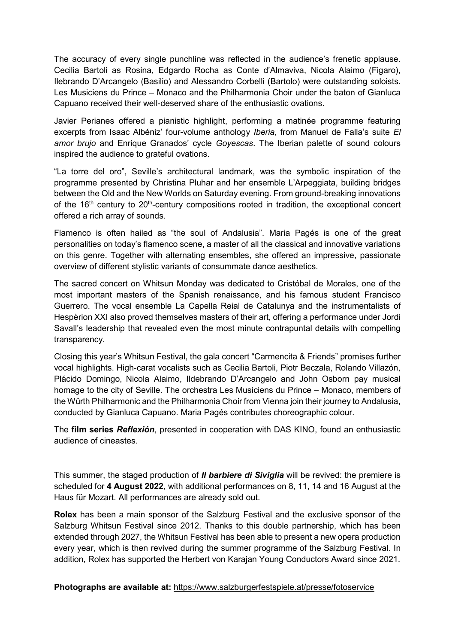The accuracy of every single punchline was reflected in the audience's frenetic applause. Cecilia Bartoli as Rosina, Edgardo Rocha as Conte d'Almaviva, Nicola Alaimo (Figaro), Ilebrando D'Arcangelo (Basilio) and Alessandro Corbelli (Bartolo) were outstanding soloists. Les Musiciens du Prince – Monaco and the Philharmonia Choir under the baton of Gianluca Capuano received their well-deserved share of the enthusiastic ovations.

Javier Perianes offered a pianistic highlight, performing a matinée programme featuring excerpts from Isaac Albéniz' four-volume anthology *Iberia*, from Manuel de Falla's suite *El amor brujo* and Enrique Granados' cycle *Goyescas*. The Iberian palette of sound colours inspired the audience to grateful ovations.

"La torre del oro", Seville's architectural landmark, was the symbolic inspiration of the programme presented by Christina Pluhar and her ensemble L'Arpeggiata, building bridges between the Old and the New Worlds on Saturday evening. From ground-breaking innovations of the  $16<sup>th</sup>$  century to  $20<sup>th</sup>$ -century compositions rooted in tradition, the exceptional concert offered a rich array of sounds.

Flamenco is often hailed as "the soul of Andalusia". Maria Pagés is one of the great personalities on today's flamenco scene, a master of all the classical and innovative variations on this genre. Together with alternating ensembles, she offered an impressive, passionate overview of different stylistic variants of consummate dance aesthetics.

The sacred concert on Whitsun Monday was dedicated to Cristóbal de Morales, one of the most important masters of the Spanish renaissance, and his famous student Francisco Guerrero. The vocal ensemble La Capella Reial de Catalunya and the instrumentalists of Hespèrion XXI also proved themselves masters of their art, offering a performance under Jordi Savall's leadership that revealed even the most minute contrapuntal details with compelling transparency.

Closing this year's Whitsun Festival, the gala concert "Carmencita & Friends" promises further vocal highlights. High-carat vocalists such as Cecilia Bartoli, Piotr Beczala, Rolando Villazón, Plácido Domingo, Nicola Alaimo, Ildebrando D'Arcangelo and John Osborn pay musical homage to the city of Seville. The orchestra Les Musiciens du Prince – Monaco, members of the Würth Philharmonic and the Philharmonia Choir from Vienna join their journey to Andalusia, conducted by Gianluca Capuano. Maria Pagés contributes choreographic colour.

The **film series** *Reflexión*, presented in cooperation with DAS KINO, found an enthusiastic audience of cineastes.

This summer, the staged production of *Il barbiere di Siviglia* will be revived: the premiere is scheduled for **4 August 2022**, with additional performances on 8, 11, 14 and 16 August at the Haus für Mozart. All performances are already sold out.

**Rolex** has been a main sponsor of the Salzburg Festival and the exclusive sponsor of the Salzburg Whitsun Festival since 2012. Thanks to this double partnership, which has been extended through 2027, the Whitsun Festival has been able to present a new opera production every year, which is then revived during the summer programme of the Salzburg Festival. In addition, Rolex has supported the Herbert von Karajan Young Conductors Award since 2021.

## **Photographs are available at:** <https://www.salzburgerfestspiele.at/presse/fotoservice>